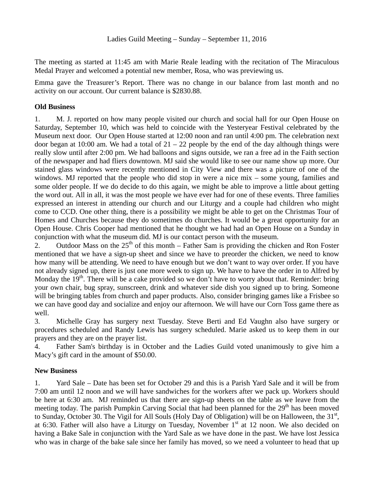The meeting as started at 11:45 am with Marie Reale leading with the recitation of The Miraculous Medal Prayer and welcomed a potential new member, Rosa, who was previewing us.

Emma gave the Treasurer's Report. There was no change in our balance from last month and no activity on our account. Our current balance is \$2830.88.

## **Old Business**

1. M. J. reported on how many people visited our church and social hall for our Open House on Saturday, September 10, which was held to coincide with the Yesteryear Festival celebrated by the Museum next door. Our Open House started at 12:00 noon and ran until 4:00 pm. The celebration next door began at 10:00 am. We had a total of  $21 - 22$  people by the end of the day although things were really slow until after 2:00 pm. We had balloons and signs outside, we ran a free ad in the Faith section of the newspaper and had fliers downtown. MJ said she would like to see our name show up more. Our stained glass windows were recently mentioned in City View and there was a picture of one of the windows. MJ reported that the people who did stop in were a nice mix – some young, families and some older people. If we do decide to do this again, we might be able to improve a little about getting the word out. All in all, it was the most people we have ever had for one of these events. Three families expressed an interest in attending our church and our Liturgy and a couple had children who might come to CCD. One other thing, there is a possibility we might be able to get on the Christmas Tour of Homes and Churches because they do sometimes do churches. It would be a great opportunity for an Open House. Chris Cooper had mentioned that he thought we had had an Open House on a Sunday in conjunction with what the museum did. MJ is our contact person with the museum.

2. Outdoor Mass on the  $25<sup>th</sup>$  of this month – Father Sam is providing the chicken and Ron Foster mentioned that we have a sign-up sheet and since we have to preorder the chicken, we need to know how many will be attending. We need to have enough but we don't want to way over order. If you have not already signed up, there is just one more week to sign up. We have to have the order in to Alfred by Monday the  $19<sup>th</sup>$ . There will be a cake provided so we don't have to worry about that. Reminder: bring your own chair, bug spray, sunscreen, drink and whatever side dish you signed up to bring. Someone will be bringing tables from church and paper products. Also, consider bringing games like a Frisbee so we can have good day and socialize and enjoy our afternoon. We will have our Corn Toss game there as well.

3. Michelle Gray has surgery next Tuesday. Steve Berti and Ed Vaughn also have surgery or procedures scheduled and Randy Lewis has surgery scheduled. Marie asked us to keep them in our prayers and they are on the prayer list.

4. Father Sam's birthday is in October and the Ladies Guild voted unanimously to give him a Macy's gift card in the amount of \$50.00.

## **New Business**

1. Yard Sale – Date has been set for October 29 and this is a Parish Yard Sale and it will be from 7:00 am until 12 noon and we will have sandwiches for the workers after we pack up. Workers should be here at 6:30 am. MJ reminded us that there are sign-up sheets on the table as we leave from the meeting today. The parish Pumpkin Carving Social that had been planned for the  $29<sup>th</sup>$  has been moved to Sunday, October 30. The Vigil for All Souls (Holy Day of Obligation) will be on Halloween, the  $31<sup>st</sup>$ , at 6:30. Father will also have a Liturgy on Tuesday, November  $1<sup>st</sup>$  at 12 noon. We also decided on having a Bake Sale in conjunction with the Yard Sale as we have done in the past. We have lost Jessica who was in charge of the bake sale since her family has moved, so we need a volunteer to head that up